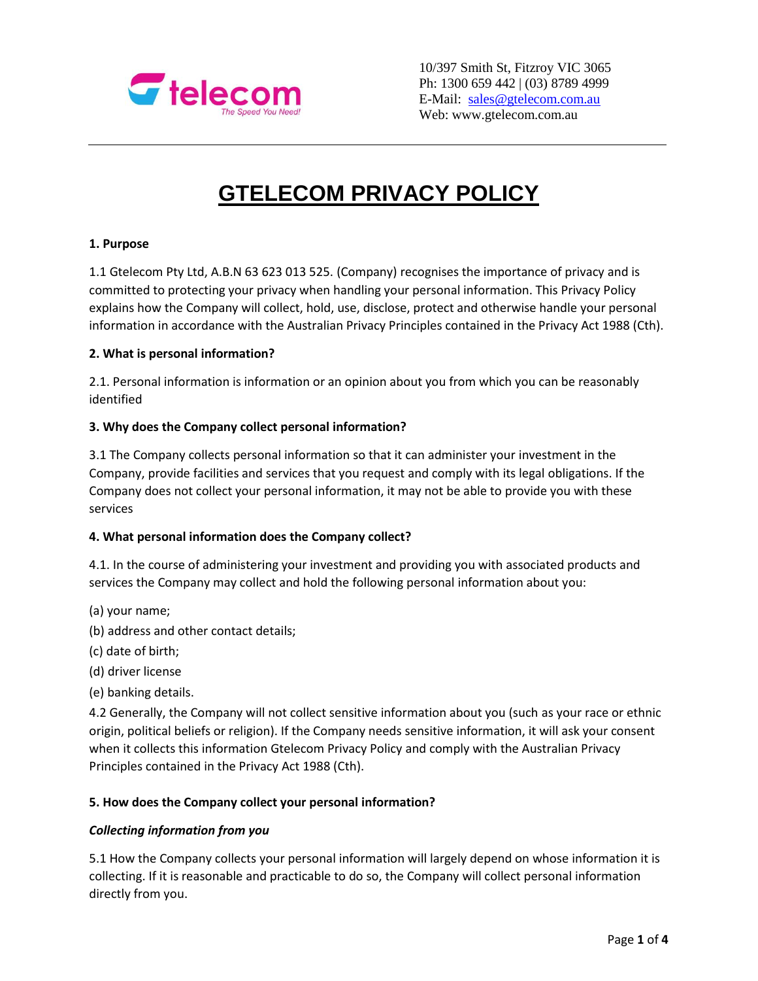

10/397 Smith St, Fitzroy VIC 3065 Ph: 1300 659 442 | (03) 8789 4999 E-Mail: [sales@gtelecom.com.au](mailto:sales@gtelecom.com.au) Web: www.gtelecom.com.au

# **GTELECOM PRIVACY POLICY**

#### **1. Purpose**

1.1 Gtelecom Pty Ltd, A.B.N 63 623 013 525. (Company) recognises the importance of privacy and is committed to protecting your privacy when handling your personal information. This Privacy Policy explains how the Company will collect, hold, use, disclose, protect and otherwise handle your personal information in accordance with the Australian Privacy Principles contained in the Privacy Act 1988 (Cth).

#### **2. What is personal information?**

2.1. Personal information is information or an opinion about you from which you can be reasonably identified

#### **3. Why does the Company collect personal information?**

3.1 The Company collects personal information so that it can administer your investment in the Company, provide facilities and services that you request and comply with its legal obligations. If the Company does not collect your personal information, it may not be able to provide you with these services

#### **4. What personal information does the Company collect?**

4.1. In the course of administering your investment and providing you with associated products and services the Company may collect and hold the following personal information about you:

- (a) your name;
- (b) address and other contact details;
- (c) date of birth;
- (d) driver license
- (e) banking details.

4.2 Generally, the Company will not collect sensitive information about you (such as your race or ethnic origin, political beliefs or religion). If the Company needs sensitive information, it will ask your consent when it collects this information Gtelecom Privacy Policy and comply with the Australian Privacy Principles contained in the Privacy Act 1988 (Cth).

## **5. How does the Company collect your personal information?**

## *Collecting information from you*

5.1 How the Company collects your personal information will largely depend on whose information it is collecting. If it is reasonable and practicable to do so, the Company will collect personal information directly from you.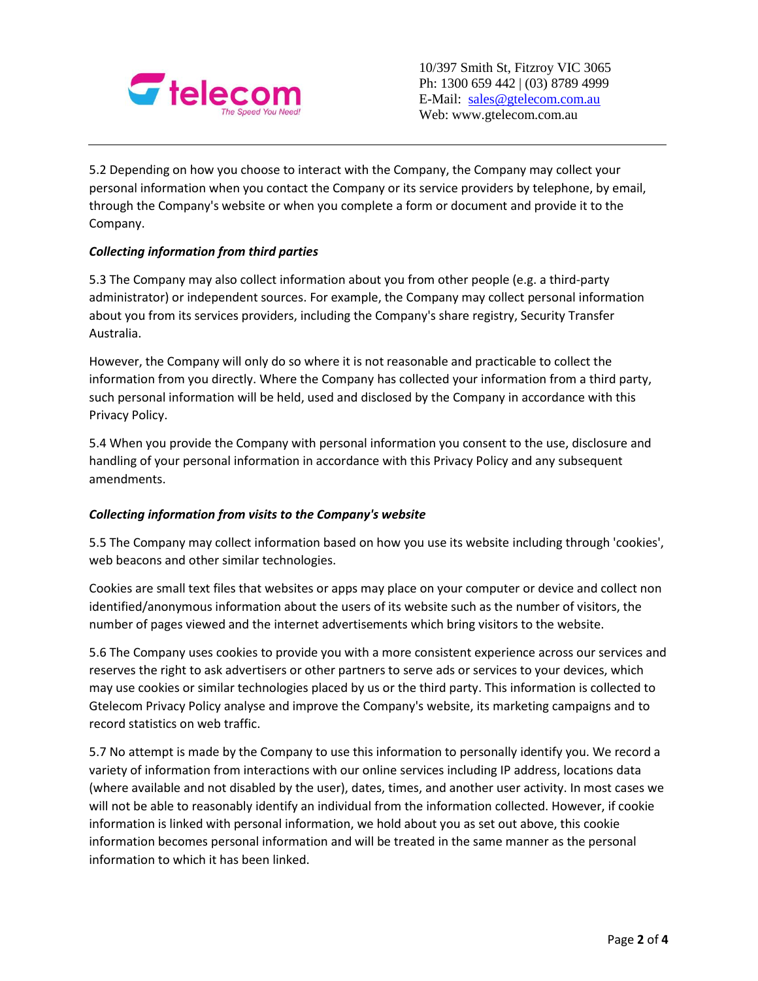

5.2 Depending on how you choose to interact with the Company, the Company may collect your personal information when you contact the Company or its service providers by telephone, by email, through the Company's website or when you complete a form or document and provide it to the Company.

# *Collecting information from third parties*

5.3 The Company may also collect information about you from other people (e.g. a third-party administrator) or independent sources. For example, the Company may collect personal information about you from its services providers, including the Company's share registry, Security Transfer Australia.

However, the Company will only do so where it is not reasonable and practicable to collect the information from you directly. Where the Company has collected your information from a third party, such personal information will be held, used and disclosed by the Company in accordance with this Privacy Policy.

5.4 When you provide the Company with personal information you consent to the use, disclosure and handling of your personal information in accordance with this Privacy Policy and any subsequent amendments.

## *Collecting information from visits to the Company's website*

5.5 The Company may collect information based on how you use its website including through 'cookies', web beacons and other similar technologies.

Cookies are small text files that websites or apps may place on your computer or device and collect non identified/anonymous information about the users of its website such as the number of visitors, the number of pages viewed and the internet advertisements which bring visitors to the website.

5.6 The Company uses cookies to provide you with a more consistent experience across our services and reserves the right to ask advertisers or other partners to serve ads or services to your devices, which may use cookies or similar technologies placed by us or the third party. This information is collected to Gtelecom Privacy Policy analyse and improve the Company's website, its marketing campaigns and to record statistics on web traffic.

5.7 No attempt is made by the Company to use this information to personally identify you. We record a variety of information from interactions with our online services including IP address, locations data (where available and not disabled by the user), dates, times, and another user activity. In most cases we will not be able to reasonably identify an individual from the information collected. However, if cookie information is linked with personal information, we hold about you as set out above, this cookie information becomes personal information and will be treated in the same manner as the personal information to which it has been linked.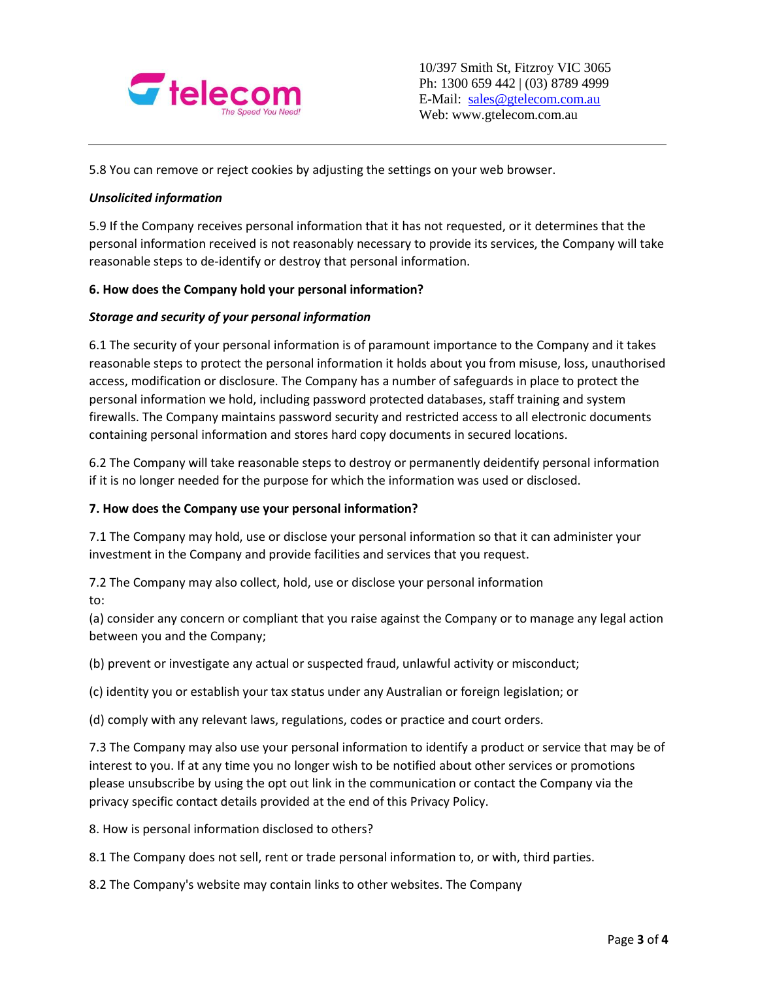

5.8 You can remove or reject cookies by adjusting the settings on your web browser.

## *Unsolicited information*

5.9 If the Company receives personal information that it has not requested, or it determines that the personal information received is not reasonably necessary to provide its services, the Company will take reasonable steps to de-identify or destroy that personal information.

## **6. How does the Company hold your personal information?**

#### *Storage and security of your personal information*

6.1 The security of your personal information is of paramount importance to the Company and it takes reasonable steps to protect the personal information it holds about you from misuse, loss, unauthorised access, modification or disclosure. The Company has a number of safeguards in place to protect the personal information we hold, including password protected databases, staff training and system firewalls. The Company maintains password security and restricted access to all electronic documents containing personal information and stores hard copy documents in secured locations.

6.2 The Company will take reasonable steps to destroy or permanently deidentify personal information if it is no longer needed for the purpose for which the information was used or disclosed.

## **7. How does the Company use your personal information?**

7.1 The Company may hold, use or disclose your personal information so that it can administer your investment in the Company and provide facilities and services that you request.

7.2 The Company may also collect, hold, use or disclose your personal information to:

(a) consider any concern or compliant that you raise against the Company or to manage any legal action between you and the Company;

(b) prevent or investigate any actual or suspected fraud, unlawful activity or misconduct;

(c) identity you or establish your tax status under any Australian or foreign legislation; or

(d) comply with any relevant laws, regulations, codes or practice and court orders.

7.3 The Company may also use your personal information to identify a product or service that may be of interest to you. If at any time you no longer wish to be notified about other services or promotions please unsubscribe by using the opt out link in the communication or contact the Company via the privacy specific contact details provided at the end of this Privacy Policy.

8. How is personal information disclosed to others?

8.1 The Company does not sell, rent or trade personal information to, or with, third parties.

8.2 The Company's website may contain links to other websites. The Company